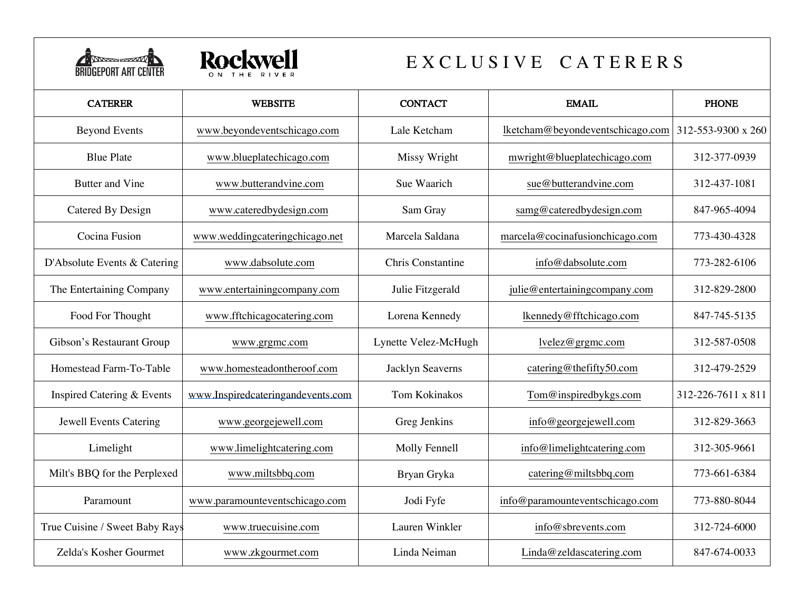



## E X C L U S I V E C A T E R E R S

| <b>CATERER</b>                 | <b>WEBSITE</b>                    | <b>CONTACT</b>           | <b>EMAIL</b>                     | <b>PHONE</b>       |
|--------------------------------|-----------------------------------|--------------------------|----------------------------------|--------------------|
| <b>Beyond Events</b>           | www.beyondeventschicago.com       | Lale Ketcham             | lketcham@beyondeventschicago.com | 312-553-9300 x 260 |
| <b>Blue Plate</b>              | www.blueplatechicago.com          | Missy Wright             | mwright@blueplatechicago.com     | 312-377-0939       |
| Butter and Vine                | www.butterandvine.com             | Sue Waarich              | sue@butterandvine.com            | 312-437-1081       |
| Catered By Design              | www.cateredbydesign.com           | Sam Gray                 | samg@cateredbydesign.com         | 847-965-4094       |
| Cocina Fusion                  | www.weddingcateringchicago.net    | Marcela Saldana          | marcela@cocinafusionchicago.com  | 773-430-4328       |
| D'Absolute Events & Catering   | www.dabsolute.com                 | <b>Chris Constantine</b> | info@dabsolute.com               | 773-282-6106       |
| The Entertaining Company       | www.entertainingcompany.com       | Julie Fitzgerald         | julie@entertainingcompany.com    | 312-829-2800       |
| Food For Thought               | www.fftchicagocatering.com        | Lorena Kennedy           | lkennedy@fftchicago.com          | 847-745-5135       |
| Gibson's Restaurant Group      | www.grgmc.com                     | Lynette Velez-McHugh     | lvelez@grgmc.com                 | 312-587-0508       |
| Homestead Farm-To-Table        | www.homesteadontheroof.com        | Jacklyn Seaverns         | catering@thefifty50.com          | 312-479-2529       |
| Inspired Catering & Events     | www.Inspiredcateringandevents.com | Tom Kokinakos            | Tom@inspiredbykgs.com            | 312-226-7611 x 811 |
| <b>Jewell Events Catering</b>  | www.georgejewell.com              | Greg Jenkins             | info@georgejewell.com            | 312-829-3663       |
| Limelight                      | www.limelightcatering.com         | Molly Fennell            | info@limelightcatering.com       | 312-305-9661       |
| Milt's BBQ for the Perplexed   | www.miltsbbq.com                  | Bryan Gryka              | catering@miltsbbq.com            | 773-661-6384       |
| Paramount                      | www.paramounteventschicago.com    | Jodi Fyfe                | info@paramounteventschicago.com  | 773-880-8044       |
| True Cuisine / Sweet Baby Rays | www.truecuisine.com               | Lauren Winkler           | info@sbrevents.com               | 312-724-6000       |
| Zelda's Kosher Gourmet         | www.zkgourmet.com                 | Linda Neiman             | Linda@zeldascatering.com         | 847-674-0033       |